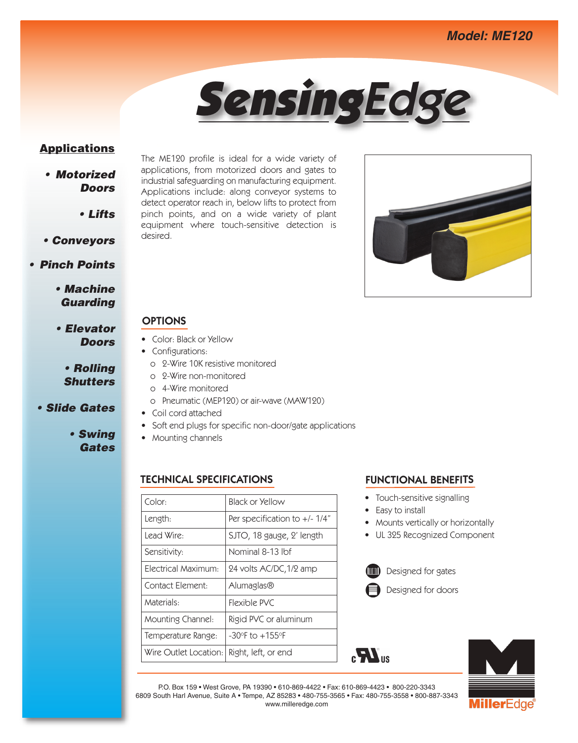

# **Applications**

- *• Motorized Doors*
	- *• Lifts*
- *• Conveyors*

## *• Pinch Points*

- *• Machine Guarding*
- *• Elevator Doors*

# *• Rolling Shutters*

- *• Slide Gates*
	- *• Swing Gates*

The ME120 profile is ideal for a wide variety of applications, from motorized doors and gates to industrial safeguarding on manufacturing equipment. Applications include: along conveyor systems to detect operator reach in, below lifts to protect from pinch points, and on a wide variety of plant equipment where touch-sensitive detection is desired.



# **OPTIONS**

- Color: Black or Yellow
- Configurations:
	- o 2-Wire 10K resistive monitored
	- o 2-Wire non-monitored
	- o 4-Wire monitored
	- o Pneumatic (MEP120) or air-wave (MAW120)
- Coil cord attached
- Soft end plugs for specific non-door/gate applications
- Mounting channels

## **TECHNICAL SPECIFICATIONS FUNCTIONAL BENEFITS**

| Black or Yellow                |
|--------------------------------|
| Per specification to $+/-1/4"$ |
| SJTO, 18 gauge, 2' length      |
| Nominal 8-13 lbf               |
| 24 volts AC/DC, 1/2 amp        |
| Alumaglas®                     |
| Flexible PVC                   |
| Rigid PVC or aluminum          |
| $-30$ °F to $+155$ °F          |
| Right, left, or end            |
|                                |

- Touch-sensitive signalling
- Easy to install
- Mounts vertically or horizontally
- UL 325 Recognized Component







P.O. Box 159 • West Grove, PA 19390 • 610-869-4422 • Fax: 610-869-4423 • 800-220-3343 6809 South Harl Avenue, Suite A • Tempe, AZ 85283 • 480-755-3565 • Fax: 480-755-3558 • 800-887-3343 www.milleredge.com

 $\mathbf{F}$